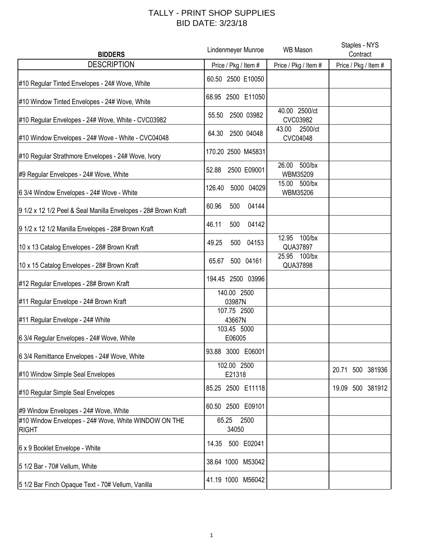## TALLY - PRINT SHOP SUPPLIES BID DATE: 3/23/18

| <b>BIDDERS</b>                                                       | Lindenmeyer Munroe                   | <b>WB Mason</b>                | Staples - NYS<br>Contract |
|----------------------------------------------------------------------|--------------------------------------|--------------------------------|---------------------------|
| <b>DESCRIPTION</b>                                                   | Price / Pkg / Item #                 | Price / Pkg / Item #           | Price / Pkg / Item #      |
| #10 Regular Tinted Envelopes - 24# Wove, White                       | 60.50 2500 E10050                    |                                |                           |
| #10 Window Tinted Envelopes - 24# Wove, White                        | 68.95 2500 E11050                    |                                |                           |
| #10 Regular Envelopes - 24# Wove, White - CVC03982                   | 2500 03982<br>55.50                  | 40.00 2500/ct<br>CVC03982      |                           |
| #10 Window Envelopes - 24# Wove - White - CVC04048                   | 2500 04048<br>64.30                  | 2500/ct<br>43.00<br>CVC04048   |                           |
| #10 Regular Strathmore Envelopes - 24# Wove, Ivory                   | 170.20 2500 M45831                   |                                |                           |
| #9 Regular Envelopes - 24# Wove, White                               | 52.88<br>2500 E09001                 | 26.00<br>500/bx<br>WBM35209    |                           |
| 6 3/4 Window Envelopes - 24# Wove - White                            | 126.40<br>5000 04029                 | 15.00 500/bx<br>WBM35206       |                           |
| 9 1/2 x 12 1/2 Peel & Seal Manilla Envelopes - 28# Brown Kraft       | 60.96<br>500<br>04144                |                                |                           |
| 9 1/2 x 12 1/2 Manilla Envelopes - 28# Brown Kraft                   | 46.11<br>500<br>04142                |                                |                           |
| 10 x 13 Catalog Envelopes - 28# Brown Kraft                          | 49.25<br>500<br>04153                | $100$ /bx<br>12.95<br>QUA37897 |                           |
| 10 x 15 Catalog Envelopes - 28# Brown Kraft                          | 500 04161<br>65.67                   | 25.95 100/bx<br>QUA37898       |                           |
| #12 Regular Envelopes - 28# Brown Kraft                              | 194.45 2500 03996                    |                                |                           |
| #11 Regular Envelope - 24# Brown Kraft                               | 140.00 2500<br>03987N                |                                |                           |
| #11 Regular Envelope - 24# White                                     | 107.75 2500<br>43667N<br>103.45 5000 |                                |                           |
| 6 3/4 Regular Envelopes - 24# Wove, White                            | E06005                               |                                |                           |
| 6 3/4 Remittance Envelopes - 24# Wove, White                         | 93.88 3000 E06001                    |                                |                           |
| #10 Window Simple Seal Envelopes                                     | 102.00 2500<br>E21318                |                                | 500 381936<br>20.71       |
| #10 Regular Simple Seal Envelopes                                    | 85.25 2500 E11118                    |                                | 19.09 500 381912          |
| #9 Window Envelopes - 24# Wove, White                                | 60.50 2500 E09101                    |                                |                           |
| #10 Window Envelopes - 24# Wove, White WINDOW ON THE<br><b>RIGHT</b> | 2500<br>65.25<br>34050               |                                |                           |
| 6 x 9 Booklet Envelope - White                                       | 500 E02041<br>14.35                  |                                |                           |
| 5 1/2 Bar - 70# Vellum, White                                        | 38.64 1000 M53042                    |                                |                           |
| 5 1/2 Bar Finch Opaque Text - 70# Vellum, Vanilla                    | 41.19 1000 M56042                    |                                |                           |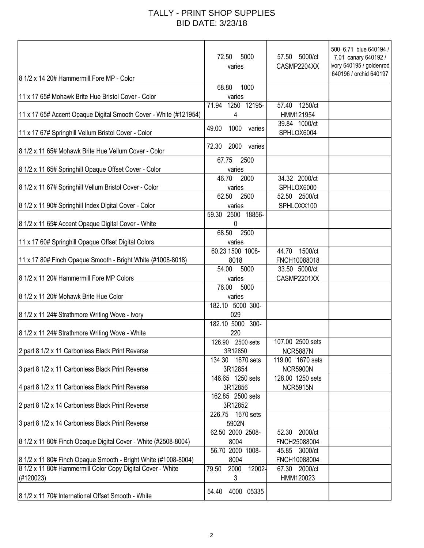## TALLY - PRINT SHOP SUPPLIES BID DATE: 3/23/18

| 8 1/2 x 14 20# Hammermill Fore MP - Color                        | 5000<br>72.50<br>varies    | 57.50 5000/ct<br>CASMP2204XX  | 500 6.71 blue 640194 /<br>7.01 canary 640192 /<br>ivory 640195 / goldenrod<br>640196 / orchid 640197 |
|------------------------------------------------------------------|----------------------------|-------------------------------|------------------------------------------------------------------------------------------------------|
|                                                                  | 1000<br>68.80              |                               |                                                                                                      |
| 11 x 17 65# Mohawk Brite Hue Bristol Cover - Color               | varies                     |                               |                                                                                                      |
| 11 x 17 65# Accent Opaque Digital Smooth Cover - White (#121954) | 1250 12195-<br>71.94<br>4  | 1250/ct<br>57.40<br>HMM121954 |                                                                                                      |
| 11 x 17 67# Springhill Vellum Bristol Cover - Color              | 1000 varies<br>49.00       | 39.84 1000/ct<br>SPHLOX6004   |                                                                                                      |
| 8 1/2 x 11 65# Mohawk Brite Hue Vellum Cover - Color             | 72.30<br>2000<br>varies    |                               |                                                                                                      |
| 8 1/2 x 11 65# Springhill Opaque Offset Cover - Color            | 2500<br>67.75<br>varies    |                               |                                                                                                      |
|                                                                  | 46.70<br>2000              | 34.32 2000/ct                 |                                                                                                      |
| 8 1/2 x 11 67# Springhill Vellum Bristol Cover - Color           | varies                     | SPHLOX6000                    |                                                                                                      |
|                                                                  | 62.50<br>2500              | 52.50 2500/ct                 |                                                                                                      |
| 8 1/2 x 11 90# Springhill Index Digital Cover - Color            | varies                     | SPHLOXX100                    |                                                                                                      |
|                                                                  | 59.30 2500 18856-          |                               |                                                                                                      |
| 8 1/2 x 11 65# Accent Opaque Digital Cover - White               | 0                          |                               |                                                                                                      |
|                                                                  | 68.50<br>2500              |                               |                                                                                                      |
| 11 x 17 60# Springhill Opaque Offset Digital Colors              | varies<br>60.23 1500 1008- | 1500/ct<br>44.70              |                                                                                                      |
| 11 x 17 80# Finch Opaque Smooth - Bright White (#1008-8018)      | 8018                       | FNCH10088018                  |                                                                                                      |
|                                                                  | 54.00<br>5000              | 33.50 5000/ct                 |                                                                                                      |
| 8 1/2 x 11 20# Hammermill Fore MP Colors                         | varies                     | CASMP2201XX                   |                                                                                                      |
|                                                                  | 76.00<br>5000              |                               |                                                                                                      |
| 8 1/2 x 11 20# Mohawk Brite Hue Color                            | varies                     |                               |                                                                                                      |
|                                                                  | 182.10 5000 300-           |                               |                                                                                                      |
| 8 1/2 x 11 24# Strathmore Writing Wove - Ivory                   | 029                        |                               |                                                                                                      |
|                                                                  | 182.10 5000 300-           |                               |                                                                                                      |
| 8 1/2 x 11 24# Strathmore Writing Wove - White                   | 220<br>126.90 2500 sets    | 107.00 2500 sets              |                                                                                                      |
| 2 part 8 1/2 x 11 Carbonless Black Print Reverse                 | 3R12850                    | <b>NCR5887N</b>               |                                                                                                      |
|                                                                  | 1670 sets<br>134.30        | 119.00 1670 sets              |                                                                                                      |
| 3 part 8 1/2 x 11 Carbonless Black Print Reverse                 | 3R12854                    | <b>NCR5900N</b>               |                                                                                                      |
|                                                                  | 146.65 1250 sets           | 128.00 1250 sets              |                                                                                                      |
| 4 part 8 1/2 x 11 Carbonless Black Print Reverse                 | 3R12856                    | <b>NCR5915N</b>               |                                                                                                      |
|                                                                  | 162.85 2500 sets           |                               |                                                                                                      |
| 2 part 8 1/2 x 14 Carbonless Black Print Reverse                 | 3R12852                    |                               |                                                                                                      |
|                                                                  | 226.75 1670 sets<br>5902N  |                               |                                                                                                      |
| 3 part 8 1/2 x 14 Carbonless Black Print Reverse                 | 62.50 2000 2508-           | 2000/ct<br>52.30              |                                                                                                      |
| 8 1/2 x 11 80# Finch Opaque Digital Cover - White (#2508-8004)   | 8004                       | FNCH25088004                  |                                                                                                      |
|                                                                  | 56.70 2000 1008-           | 45.85 3000/ct                 |                                                                                                      |
| 8 1/2 x 11 80# Finch Opaque Smooth - Bright White (#1008-8004)   | 8004                       | FNCH10088004                  |                                                                                                      |
| 8 1/2 x 11 80# Hammermill Color Copy Digital Cover - White       | 2000<br>79.50<br>12002-    | 67.30<br>2000/ct              |                                                                                                      |
| (#120023)                                                        | 3                          | HMM120023                     |                                                                                                      |
| 8 1/2 x 11 70# International Offset Smooth - White               | 4000 05335<br>54.40        |                               |                                                                                                      |